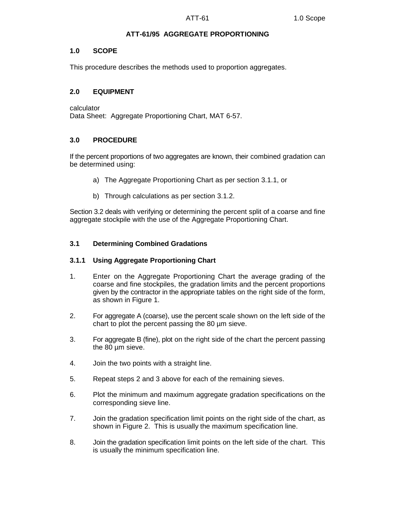# **ATT-61/95 AGGREGATE PROPORTIONING**

### **1.0 SCOPE**

This procedure describes the methods used to proportion aggregates.

# **2.0 EQUIPMENT**

calculator

Data Sheet: Aggregate Proportioning Chart, MAT 6-57.

# **3.0 PROCEDURE**

If the percent proportions of two aggregates are known, their combined gradation can be determined using:

- a) The Aggregate Proportioning Chart as per section 3.1.1, or
- b) Through calculations as per section 3.1.2.

Section 3.2 deals with verifying or determining the percent split of a coarse and fine aggregate stockpile with the use of the Aggregate Proportioning Chart.

## **3.1 Determining Combined Gradations**

## **3.1.1 Using Aggregate Proportioning Chart**

- 1. Enter on the Aggregate Proportioning Chart the average grading of the coarse and fine stockpiles, the gradation limits and the percent proportions given by the contractor in the appropriate tables on the right side of the form, as shown in Figure 1.
- 2. For aggregate A (coarse), use the percent scale shown on the left side of the chart to plot the percent passing the 80 µm sieve.
- 3. For aggregate B (fine), plot on the right side of the chart the percent passing the 80 µm sieve.
- 4. Join the two points with a straight line.
- 5. Repeat steps 2 and 3 above for each of the remaining sieves.
- 6. Plot the minimum and maximum aggregate gradation specifications on the corresponding sieve line.
- 7. Join the gradation specification limit points on the right side of the chart, as shown in Figure 2. This is usually the maximum specification line.
- 8. Join the gradation specification limit points on the left side of the chart. This is usually the minimum specification line.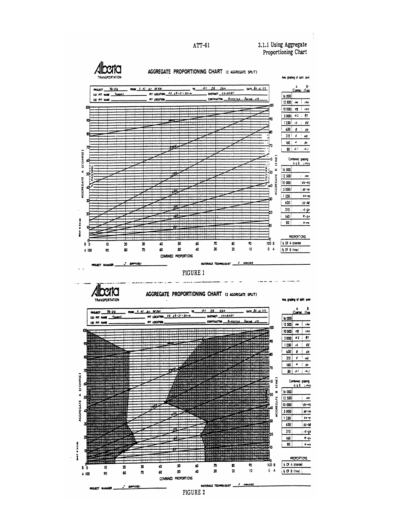ATT-61

3.1.1 Using Aggregate Proportioning Chart



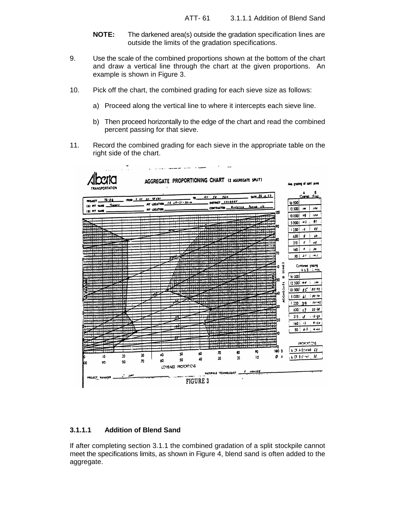- **NOTE:** The darkened area(s) outside the gradation specification lines are outside the limits of the gradation specifications.
- 9. Use the scale of the combined proportions shown at the bottom of the chart and draw a vertical line through the chart at the given proportions. An example is shown in Figure 3.
- 10. Pick off the chart, the combined grading for each sieve size as follows:
	- a) Proceed along the vertical line to where it intercepts each sieve line.
	- b) Then proceed horizontally to the edge of the chart and read the combined percent passing for that sieve.
- 11. Record the combined grading for each sieve in the appropriate table on the right side of the chart.



#### **3.1.1.1 Addition of Blend Sand**

If after completing section 3.1.1 the combined gradation of a split stockpile cannot meet the specifications limits, as shown in Figure 4, blend sand is often added to the aggregate.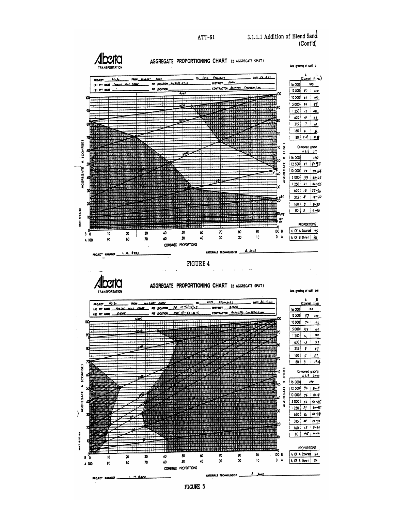AGGREGATE PROPORTIONING CHART (2 AGGREGATE SPLIT) Ave. grading of split p TRANSPORTATION DATE  $\mathcal{L}\theta$  ( $\theta$   $\mathcal{L}2$ ) (تفعيل المادى) **Resources** FROM HILL HAY RIELE Arra  $40.30$ **MORET\_** DISTRICT EMAN  $-$  PIT LOCATION  $\frac{F\Delta F \cdot 27.5}{F}$ 'പനറി  $100$ (A) PIT NAME ... ZMACH Here Chees CONTRACTOR BERREEK  $Conformation$ PIT LOCATION (B) PIT NAME  $12,500$   $P2$   $100$  $1000$  $10000 = 60$   $100$ 100  $5000: 26 = 83$ ix)  $1250$   $630$   $10$   $21$  $315$  7  $10$  $160$   $4$   $4$  $80 26 48$ (COARSE) **LENE** Compined gradin Ń. A&B <u>lm</u> 116 000  $100$ œ  $12500$   $11$   $1092$ **AGGREGATE AGGREGATE**  $10000$  70 70 84 ۵ĥ  $5000$  39  $50 - 65$  $1250 - 21 - 30 - 45$ ۵Ó  $630: 13 : 27 - 56$ 315 **8**  $45 - 30$ 30  $160$  5 9.20  $80 \ 3 \ 40$ ante-0 sve  $\ddot{u}$  $\tilde{\mathbf{S}}$ **PROPORTIONS** nu normaaraamamoonaa ka<br>27 27 28 37 37 38 39 30 30 30 30 30 6 OF A (coarse) 75 100 B so  $\boldsymbol{\pi}$ 80 90 60  $\boldsymbol{x}$  $40$ 10 20 80  $30<sup>°</sup>$  $\boldsymbol{\mathsf{z}}$ 10  $0$  A & OF B (fine) | 25 50  $\boldsymbol{10}$ 70  $\boldsymbol{\omega}$ 80 A 100 -90 COMBINED PROPORTIONS  $A.$  Jule MATERIALS TECHNOLOGIST  $1. M. 6000$ PROJECT MANAGER **FIGURE 4**  $\ddot{\phantom{0}}$ TЮ m AGGREGATE PROPORTIONING CHART (2 AGGREGATE SPUT) Ave, crading of solit pit **TRANSPORTATION** DATE 36.10.22 ALTA RESOURCES **PROJECT 40:30** WILDERY RIVER **FROM** oaraa)  $56 - 53 - 27 - 5$  $E$ *son* **PIT LOCATION** DISTRICT\_ 16000  $100$  $NN / 18 - 62 - 16 - 5$ CONTRACTOR **BLACKTOD CONSTRUCTION** (B) PIT HANT usem  $12500$   $87$  100  $1600$  $10000$  70  $00$  $5000 \big| 39 \big|$  .00 خبته  $1250$   $\frac{1}{2}$   $\frac{100}{2}$  $630$   $13$   $97$  $315$   $8$   $17$  $160$   $5$   $57$  $80 \mid 3 \mid 1/4$ **CCOARSE** (FINE) Combined grading ó. A&B Limit 16 000  $\rho_{\rm 0}$ œ ¦so ¢  $12500$  90 80-9 AGGREGATE **AGREGATE**  $10000!$  76 70-3  $5000$   $52$   $50 - 65$  $1250$   $77$   $130-5$ 10 630  $\vec{s}$   $\vec{u}$  -36  $\lambda$  $315$   $\cancel{315}$   $\cancel{15-36}$  $160: 15 : 9-20$  $80 65 4 - 10$ MAT 6-STIM **PROPORTIONS** 100 B 6 OF A (coarse) 80 90 80  $10$  $\overline{\boldsymbol{x}}$ 30  $\boldsymbol{40}$ 50 60 70 ΒŎ 10  $0 A$ 20 % OF B (fine) 20  $30$  $\pmb{\pi}$  $\boldsymbol{\omega}$ 50 40 80 90 A 100 COMBINED PROPORTIONS  $8.3...$ MATERIALS TECHNOLOGIST M GORD PROJECT MANAGER

 $ATT-61$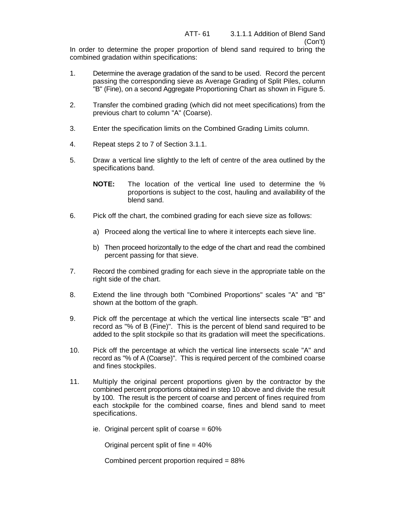In order to determine the proper proportion of blend sand required to bring the combined gradation within specifications:

- 1. Determine the average gradation of the sand to be used. Record the percent passing the corresponding sieve as Average Grading of Split Piles, column "B" (Fine), on a second Aggregate Proportioning Chart as shown in Figure 5.
- 2. Transfer the combined grading (which did not meet specifications) from the previous chart to column "A" (Coarse).
- 3. Enter the specification limits on the Combined Grading Limits column.
- 4. Repeat steps 2 to 7 of Section 3.1.1.
- 5. Draw a vertical line slightly to the left of centre of the area outlined by the specifications band.
	- **NOTE:** The location of the vertical line used to determine the % proportions is subject to the cost, hauling and availability of the blend sand.
- 6. Pick off the chart, the combined grading for each sieve size as follows:
	- a) Proceed along the vertical line to where it intercepts each sieve line.
	- b) Then proceed horizontally to the edge of the chart and read the combined percent passing for that sieve.
- 7. Record the combined grading for each sieve in the appropriate table on the right side of the chart.
- 8. Extend the line through both "Combined Proportions" scales "A" and "B" shown at the bottom of the graph.
- 9. Pick off the percentage at which the vertical line intersects scale "B" and record as "% of B (Fine)". This is the percent of blend sand required to be added to the split stockpile so that its gradation will meet the specifications.
- 10. Pick off the percentage at which the vertical line intersects scale "A" and record as "% of A (Coarse)". This is required percent of the combined coarse and fines stockpiles.
- 11. Multiply the original percent proportions given by the contractor by the combined percent proportions obtained in step 10 above and divide the result by 100. The result is the percent of coarse and percent of fines required from each stockpile for the combined coarse, fines and blend sand to meet specifications.
	- ie. Original percent split of coarse  $= 60\%$

Original percent split of fine = 40%

Combined percent proportion required = 88%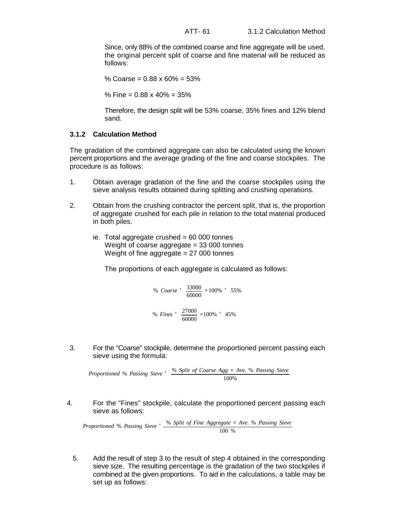Since, only 88% of the combined coarse and fine aggregate will be used, the original percent split of coarse and fine material will be reduced as follows:

% Coarse = 0.88 x 60% = 53%

% Fine =  $0.88 \times 40\% = 35\%$ 

Therefore, the design split will be 53% coarse, 35% fines and 12% blend sand.

## **3.1.2 Calculation Method**

The gradation of the combined aggregate can also be calculated using the known percent proportions and the average grading of the fine and coarse stockpiles. The procedure is as follows:

- 1. Obtain average gradation of the fine and the coarse stockpiles using the sieve analysis results obtained during splitting and crushing operations.
- 2. Obtain from the crushing contractor the percent split, that is, the proportion of aggregate crushed for each pile in relation to the total material produced in both piles.
	- ie. Total aggregate crushed  $= 60,000$  tonnes Weight of coarse aggregate = 33 000 tonnes Weight of fine aggregate = 27 000 tonnes

The proportions of each aggregate is calculated as follows:

% Coarse 
$$
\frac{33000}{60000} \times 100\%
$$
 ' 55%  
\n% Fines  $\frac{27000}{60000} \times 100\%$  ' 45%

3. For the "Coarse" stockpile, determine the proportioned percent passing each sieve using the formula:

*Proportioned* % *Passing Sieve* ' % *Split of Coarse Agg* × *Ave*. % *Passing Sieve* 100%

4. For the "Fines" stockpile, calculate the proportioned percent passing each sieve as follows:

*Proportioned* % *Passing Sieve* ' % *Split of Fine Aggregate* × *Ave*. % *Passing Sieve* 100 %

5. Add the result of step 3 to the result of step 4 obtained in the corresponding sieve size. The resulting percentage is the gradation of the two stockpiles if combined at the given proportions. To aid in the calculations, a table may be set up as follows: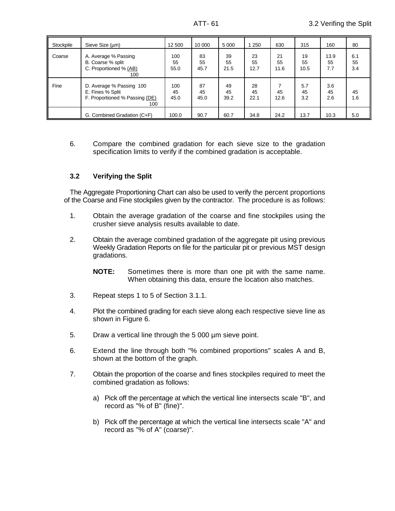| Stockpile | Sieve Size (µm)                                                                       | 12 500            | 10 000           | 5 0 0 0          | 250              | 630              | 315              | 160               | 80               |
|-----------|---------------------------------------------------------------------------------------|-------------------|------------------|------------------|------------------|------------------|------------------|-------------------|------------------|
| Coarse    | A. Average % Passing<br>B. Coarse % split<br>C. Proportioned % (AB)<br>100            | 100<br>55<br>55.0 | 83<br>55<br>45.7 | 39<br>55<br>21.5 | 23<br>55<br>12.7 | 21<br>55<br>11.6 | 19<br>55<br>10.5 | 13.9<br>55<br>7.7 | 6.1<br>55<br>3.4 |
| Fine      | D. Average % Passing 100<br>E. Fines % Split<br>F. Proportioned % Passing (DE)<br>100 | 100<br>45<br>45.0 | 87<br>45<br>45.0 | 49<br>45<br>39.2 | 28<br>45<br>22.1 | 45<br>12.6       | 5.7<br>45<br>3.2 | 3.6<br>45<br>2.6  | 45<br>1.6        |
|           | G. Combined Gradation (C+F)                                                           | 100.0             | 90.7             | 60.7             | 34.8             | 24.2             | 13.7             | 10.3              | 5.0              |

6. Compare the combined gradation for each sieve size to the gradation specification limits to verify if the combined gradation is acceptable.

### **3.2 Verifying the Split**

The Aggregate Proportioning Chart can also be used to verify the percent proportions of the Coarse and Fine stockpiles given by the contractor. The procedure is as follows:

- 1. Obtain the average gradation of the coarse and fine stockpiles using the crusher sieve analysis results available to date.
- 2. Obtain the average combined gradation of the aggregate pit using previous Weekly Gradation Reports on file for the particular pit or previous MST design gradations.
	- **NOTE:** Sometimes there is more than one pit with the same name. When obtaining this data, ensure the location also matches.
- 3. Repeat steps 1 to 5 of Section 3.1.1.
- 4. Plot the combined grading for each sieve along each respective sieve line as shown in Figure 6.
- 5. Draw a vertical line through the 5 000 µm sieve point.
- 6. Extend the line through both "% combined proportions" scales A and B, shown at the bottom of the graph.
- 7. Obtain the proportion of the coarse and fines stockpiles required to meet the combined gradation as follows:
	- a) Pick off the percentage at which the vertical line intersects scale "B", and record as "% of B" (fine)".
	- b) Pick off the percentage at which the vertical line intersects scale "A" and record as "% of A" (coarse)".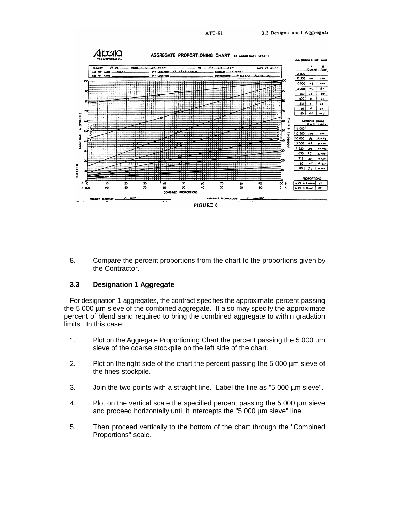

8. Compare the percent proportions from the chart to the proportions given by the Contractor.

#### **3.3 Designation 1 Aggregate**

For designation 1 aggregates, the contract specifies the approximate percent passing the 5 000 µm sieve of the combined aggregate. It also may specify the approximate percent of blend sand required to bring the combined aggregate to within gradation limits. In this case:

- 1. Plot on the Aggregate Proportioning Chart the percent passing the 5 000 µm sieve of the coarse stockpile on the left side of the chart.
- 2. Plot on the right side of the chart the percent passing the 5 000 µm sieve of the fines stockpile.
- 3. Join the two points with a straight line. Label the line as "5 000 µm sieve".
- 4. Plot on the vertical scale the specified percent passing the 5 000 µm sieve and proceed horizontally until it intercepts the "5 000 µm sieve" line.
- 5. Then proceed vertically to the bottom of the chart through the "Combined Proportions" scale.